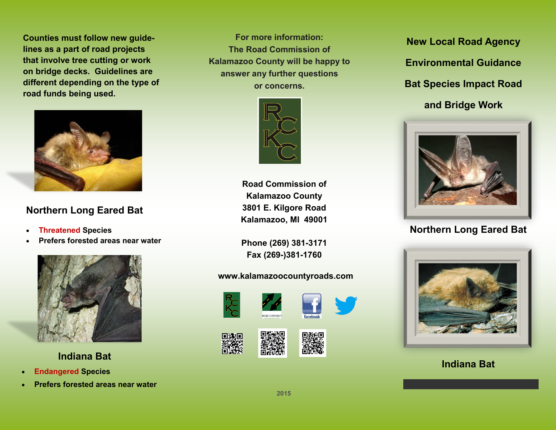**Counties must follow new guidelines as a part of road projects that involve tree cutting or work on bridge decks. Guidelines are different depending on the type of road funds being used.** 



### **Northern Long Eared Bat**

- **Threatened Species**
- **Prefers forested areas near water**



 **Indiana Bat**

- **Endangered Species**
- **Prefers forested areas near water**

**For more information: The Road Commission of Kalamazoo County will be happy to answer any further questions or concerns.** 



**Road Commission of Kalamazoo County 3801 E. Kilgore Road Kalamazoo, MI 49001**

**Phone (269) 381-3171 Fax (269-)381-1760**

#### **www.kalamazoocountyroads.com**



**New Local Road Agency Environmental Guidance Bat Species Impact Road and Bridge Work**



### **Northern Long Eared Bat**



### **Indiana Bat**